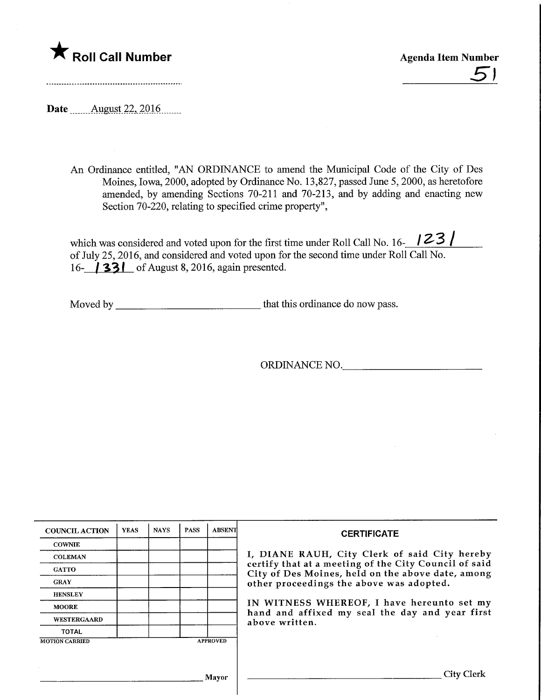# $\bigstar$  Roll Call Number

Agenda Item Number  $5'$ 

Date ........Augyst.22,.2016.

An Ordinance entitled, "AN ORDINANCE to amend the Municipal Code of the City of Des Moines, Iowa, 2000, adopted by Ordinance No. 13,827, passed June 5,2000, as heretofore amended, by amending Sections 70-211 and 70-213, and by adding and enacting new Section 70-220, relating to specified crime property",

which was considered and voted upon for the first time under Roll Call No. 16- $\frac{123}{ }$ of July 25, 2016, and considered and voted upon for the second time under Roll Call No. 16- **33** of August 8, 2016, again presented.

Moved by that this ordinance do now pass.

ORDINANCE NO.

| <b>COUNCIL ACTION</b> | <b>YEAS</b> | <b>NAYS</b> | <b>PASS</b> | <b>ABSENT</b>                                                                                              | <b>CERTIFICATE</b>                            |  |  |
|-----------------------|-------------|-------------|-------------|------------------------------------------------------------------------------------------------------------|-----------------------------------------------|--|--|
| <b>COWNIE</b>         |             |             |             |                                                                                                            |                                               |  |  |
| <b>COLEMAN</b>        |             |             |             |                                                                                                            | I, DIANE RAUH, City Clerk of said City hereby |  |  |
| <b>GATTO</b>          |             |             |             | certify that at a meeting of the City Council of said<br>City of Des Moines, held on the above date, among |                                               |  |  |
| <b>GRAY</b>           |             |             |             |                                                                                                            | other proceedings the above was adopted.      |  |  |
| <b>HENSLEY</b>        |             |             |             |                                                                                                            |                                               |  |  |
| <b>MOORE</b>          |             |             |             |                                                                                                            | IN WITNESS WHEREOF, I have hereunto set my    |  |  |
| <b>WESTERGAARD</b>    |             |             |             | hand and affixed my seal the day and year first<br>above written.                                          |                                               |  |  |
| <b>TOTAL</b>          |             |             |             |                                                                                                            |                                               |  |  |
| <b>MOTION CARRIED</b> |             |             |             | <b>APPROVED</b>                                                                                            |                                               |  |  |
|                       |             |             |             |                                                                                                            |                                               |  |  |
|                       |             |             |             |                                                                                                            |                                               |  |  |
|                       |             |             |             | Mavor                                                                                                      | City Clerk                                    |  |  |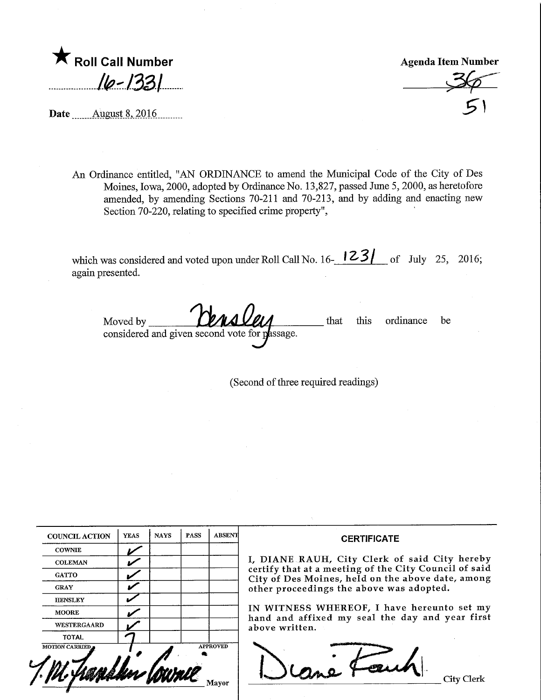| Roll Call Number |  |
|------------------|--|
| $16 - 1331$      |  |

Agenda Item Number

 $36^ \rightarrow$   $\rightarrow$ \$\

Date ........August 8,.2016.

An Ordinance entitled, "AN ORDINANCE to amend the Municipal Code of the City of Des Moines, Iowa, 2000, adopted by Ordinance No. 13,827, passed June 5,2000, as heretofore amended, by amending Sections 70-211 and 70-213, and by adding and enacting new Section 70-220, relating to specified crime property",

which was considered and voted upon under Roll Call No. 16- $\frac{123}{ }$  of July 25, 2016; again presented.

Moved by **Censue** considered and given second vote for passage. that fhis ordinance be

(Second of three required readings)

| <b>COUNCIL ACTION</b> | <b>YEAS</b> | <b>NAYS</b> | <b>PASS</b> | <b>ABSENT</b>   | <b>CERTIFICATE</b>                                                                                                                        |  |  |  |
|-----------------------|-------------|-------------|-------------|-----------------|-------------------------------------------------------------------------------------------------------------------------------------------|--|--|--|
| <b>COWNIE</b>         |             |             |             |                 |                                                                                                                                           |  |  |  |
| <b>COLEMAN</b>        |             |             |             |                 | I, DIANE RAUH, City Clerk of said City hereby                                                                                             |  |  |  |
| <b>GATTO</b>          |             |             |             |                 | certify that at a meeting of the City Council of said<br>City of Des Moines, held on the above date, among                                |  |  |  |
| <b>GRAY</b>           |             |             |             |                 | other proceedings the above was adopted.<br>IN WITNESS WHEREOF, I have hereunto set my<br>hand and affixed my seal the day and year first |  |  |  |
| <b>HENSLEY</b>        |             |             |             |                 |                                                                                                                                           |  |  |  |
| <b>MOORE</b>          |             |             |             |                 |                                                                                                                                           |  |  |  |
| <b>WESTERGAARD</b>    |             |             |             |                 | above written.                                                                                                                            |  |  |  |
| <b>TOTAL</b>          |             |             |             |                 |                                                                                                                                           |  |  |  |
| <b>MOTION CARRIED</b> |             |             |             | <b>APPROVED</b> |                                                                                                                                           |  |  |  |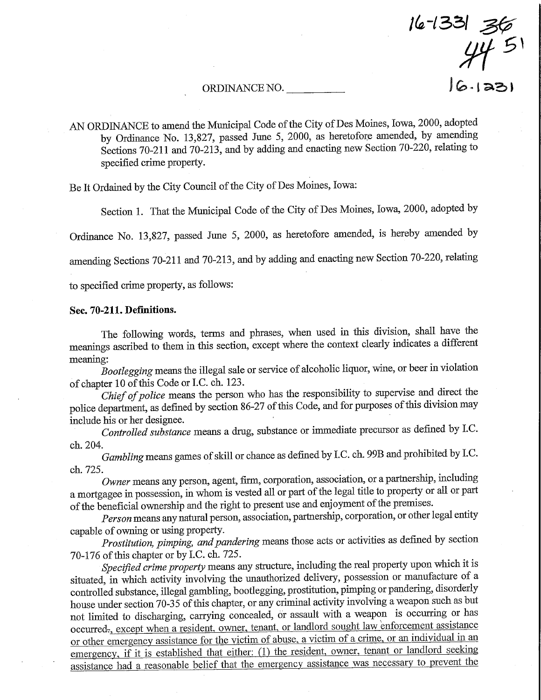ORDINANCE NO. \_ ) ^ < | 3^ )

 $6 - 1331$   $36$ 

5' yf

AN ORDINANCE to amend the Municipal Code of the City of Des Moines, Iowa, 2000, adopted by Ordinance No. 13,827, passed June 5, 2000, as heretofore amended, by amending Sections 70-211 and 70-213, and by adding and enacting new Section 70-220, relating to specified crime property.

Be It Ordained by the City Council of the City of Des Moines, Iowa:

Section 1. That the Municipal Code of the City of Des Moines, Iowa, 2000, adopted by

Ordinaace No. 13,827, passed June 5, 2000, as heretofore amended, is hereby amended by

amending Sections 70-211 and 70-213, and by adding and enacting new Section 70-220, relating

to specified crime property, as follows:

### Sec. 70-211. Definitions.

The following words, terms and phrases, when used in fhis division, shall have the meanings ascribed to them in this section, except where the context clearly indicates a different meamng:

Bootlegging means the illegal sale or service of alcoholic liquor, wine, or beer in violation of chapter 10 of this Code or I.C. ch. 123.

Chief of police means the person who has the responsibility to supervise and direct the police department, as defined by section 86-27 of this Code, and for purposes of this division may include his or her designee.

Controlled substance means a drug, substance or munediate precursor as defined by I.C. ch.204.

Gambling means games of skill or chance as defined by I.C. ch. 99B and prohibited by I.C. ch. 725.

Owner means any person, agent, firm, corporation, association, or a partnership, including a mortgagee m possession, in whom is vested all or part of the legal title to property or aU or part of the beneficial ownership and the right to present use and enjoyment of the premises.

Person means any natural person, association, partnership, corporation, or other legal entity capable of owning or using property.

Prostitution, pimping, and pandering means those acts or activities as defined by section 70-176 of this chapter or by I.C.ch.725.

Specified crime property means any structure, including the real property upon which it is situated, in which activity involving the unauthorized delivery, possession or manufacture of a controlled substance, illegal gambling, bootlegging, prostitution, pimping or pandering, disorderly house under section 70-35 of this chapter, or any criminal activity involving a weapon such as but not limited to discharging, carrying concealed, or assault with a weapon is occurring or has occurred<sub>r</sub>, except when a resident, owner, tenant, or landlord sought law enforcement assistance or other emergency assistance for the victim of abuse, a victim of a crime, or an individual in an emergency, if it is established that either: (1) the resident, owner, tenant or landlord seeking assistance had a reasonable belief that the emergency assistance was necessary to prevent the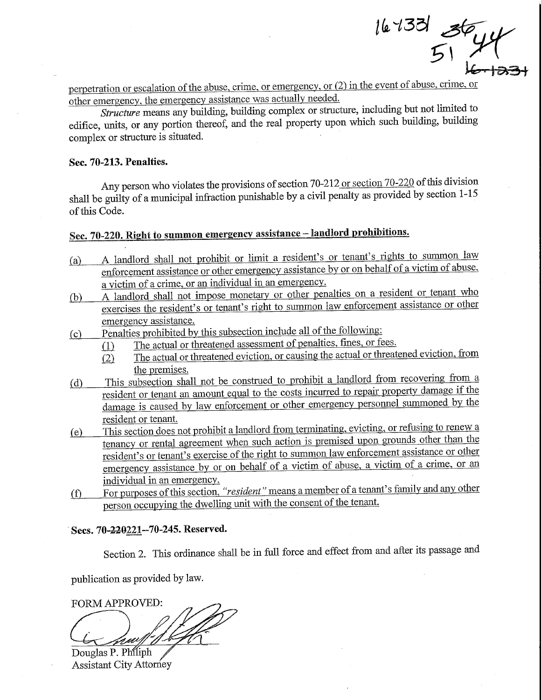$\mathbb{Z}^{135}$  36,19  $\overline{\phantom{a}}$  $4$ k.

perpetration or escalation of the abuse, crime, or emergency, or (2) in the event of abuse, crime, or other emergency, the emergency assistance was actually needed.

Structure means any building, building complex or structure, mcluding but not limited to edifice, units, or any portion thereof, and the real property upon which such building, building complex or structure is situated.

### Sec. 70-213. Penalties.

Any person who violates the provisions of section 70-212 or section 70-220 of this division shall be guilty of a municipal infraction punishable by a civil penalty as provided by section 1-15 of this Code.

## Sec. 70-220. Right to summon emergency assistance - landlord prohibitions.

- (a) A landlord shall not prohibit or limit a resident's or tenant's rights to summon law enforcement assistance or other emergency assistance by or on behalf of a victim of abuse, a victim of a crime, or an individual in an emergency. victim of a crime, or an mulviqual in an emergency.
- $(b)$  A landlord shall not impose monetary or other penalties on a resident or tenant who exercises the resident's or tenant's right to summon law enforcement assistance or other emergency assistance.
- (c) Penalties prohibited by this subsection include all of the following:<br>(1) The actual or threatened assessment of penalties, fines, or fe
	- The actual or threatened assessment of penalties, fines, or fees.
		- $\overline{(2)}$  The actual or threatened eviction, or causing the actual or threatened eviction, from the premises. he <u>premises.</u>
- $\phi$  This subsection shall not be construed to promote a landlord from recovering from a resident or tenant an amount equal to the costs incurred to repair property damage if the damage is caused by law enforcement or other emergency personnel summoned by the resident or tenant. <u>esident or tenant.</u>
- $\epsilon$ ) This section does not prohibit a landlord from terminating, evicting, or refusing to relation that tenancy or rental agreement when such action is premised upon grounds once than resident's or tenant's exercise of the right to summon law enforcement assistance of each emergency assistance by or on behalf of a victim of abuse, a victim of a crime, or an individual in an emergency.
- (f) For purposes of this section, "resident" means a member of a tenant's family and any other person occupying the dwelling unit with the consent of the tenant.

### Sees. 70-320221-70-245. Reserved.

Section 2. This ordinance shall be in full force and effect from and after its passage and

publication as provided by law.

FORM APPROVED:

Douglas P. Philiph Assistant City Attorney